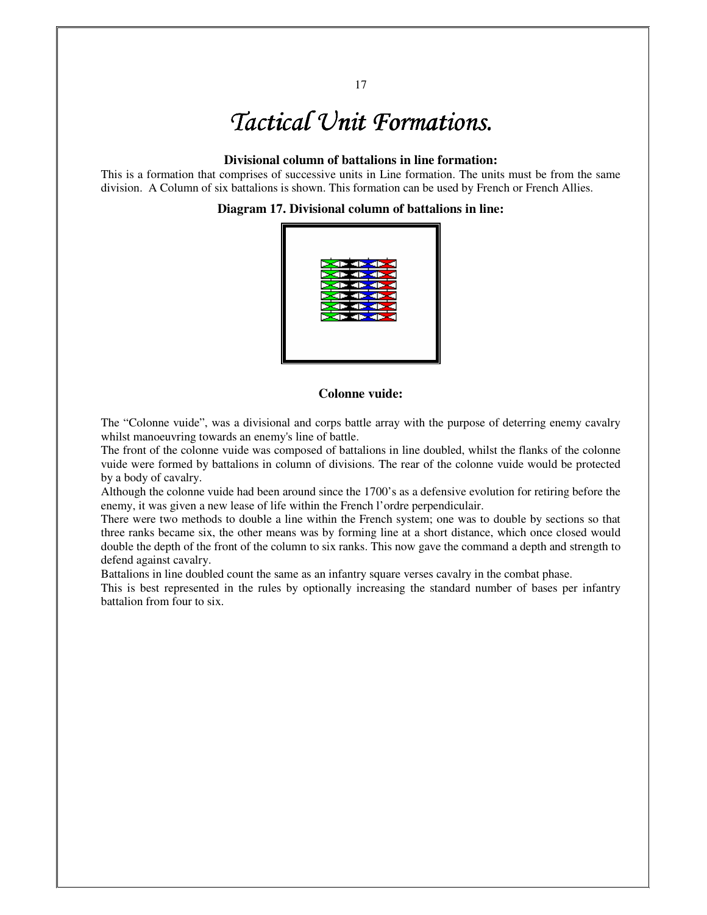# *Tactical Unit Formations.*

# **Divisional column of battalions in line formation:**

This is a formation that comprises of successive units in Line formation. The units must be from the same division. A Column of six battalions is shown. This formation can be used by French or French Allies.

# **Diagram 17. Divisional column of battalions in line:**



# **Colonne vuide:**

The "Colonne vuide", was a divisional and corps battle array with the purpose of deterring enemy cavalry whilst manoeuvring towards an enemy's line of battle.

The front of the colonne vuide was composed of battalions in line doubled, whilst the flanks of the colonne vuide were formed by battalions in column of divisions. The rear of the colonne vuide would be protected by a body of cavalry.

Although the colonne vuide had been around since the 1700's as a defensive evolution for retiring before the enemy, it was given a new lease of life within the French l'ordre perpendiculair.

There were two methods to double a line within the French system; one was to double by sections so that three ranks became six, the other means was by forming line at a short distance, which once closed would double the depth of the front of the column to six ranks. This now gave the command a depth and strength to defend against cavalry.

Battalions in line doubled count the same as an infantry square verses cavalry in the combat phase.

This is best represented in the rules by optionally increasing the standard number of bases per infantry battalion from four to six.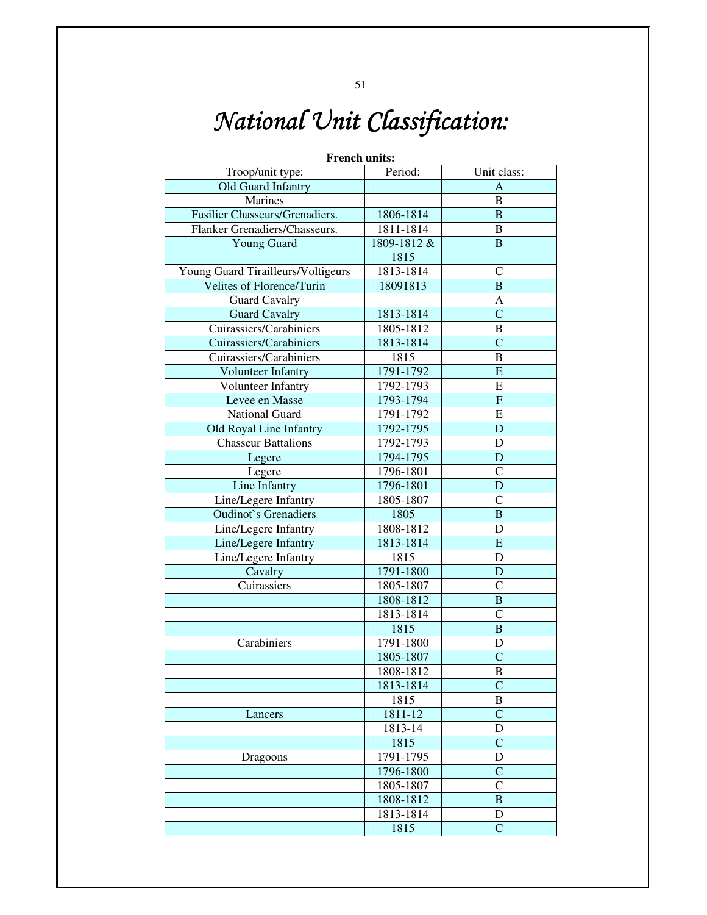# *National Unit Classification:*

| <b>French units:</b>               |             |                         |  |  |  |  |  |
|------------------------------------|-------------|-------------------------|--|--|--|--|--|
| Troop/unit type:                   | Period:     | Unit class:             |  |  |  |  |  |
| Old Guard Infantry                 |             | A                       |  |  |  |  |  |
| Marines                            |             | $\bf{B}$                |  |  |  |  |  |
| Fusilier Chasseurs/Grenadiers.     | 1806-1814   | $\mathbf B$             |  |  |  |  |  |
| Flanker Grenadiers/Chasseurs.      | 1811-1814   | $\, {\bf B}$            |  |  |  |  |  |
| <b>Young Guard</b>                 | 1809-1812 & | $\mathbf B$             |  |  |  |  |  |
|                                    | 1815        |                         |  |  |  |  |  |
| Young Guard Tirailleurs/Voltigeurs | 1813-1814   | $\mathcal{C}$           |  |  |  |  |  |
| Velites of Florence/Turin          | 18091813    | $\, {\bf B}$            |  |  |  |  |  |
| <b>Guard Cavalry</b>               |             | A                       |  |  |  |  |  |
| <b>Guard Cavalry</b>               | 1813-1814   | $\overline{C}$          |  |  |  |  |  |
| Cuirassiers/Carabiniers            | 1805-1812   | $\, {\bf B}$            |  |  |  |  |  |
| Cuirassiers/Carabiniers            | 1813-1814   | $\overline{C}$          |  |  |  |  |  |
| Cuirassiers/Carabiniers            | 1815        | $\, {\bf B}$            |  |  |  |  |  |
| Volunteer Infantry                 | 1791-1792   | $\overline{\mathrm{E}}$ |  |  |  |  |  |
| Volunteer Infantry                 | 1792-1793   | ${\bf E}$               |  |  |  |  |  |
| Levee en Masse                     | 1793-1794   | ${\bf F}$               |  |  |  |  |  |
| National Guard                     | 1791-1792   | E                       |  |  |  |  |  |
| Old Royal Line Infantry            | 1792-1795   | D                       |  |  |  |  |  |
| <b>Chasseur Battalions</b>         | 1792-1793   | $\mathbf D$             |  |  |  |  |  |
| Legere                             | 1794-1795   | D                       |  |  |  |  |  |
| Legere                             | 1796-1801   | $\overline{C}$          |  |  |  |  |  |
| Line Infantry                      | 1796-1801   | D                       |  |  |  |  |  |
| Line/Legere Infantry               | 1805-1807   | $\mathcal{C}$           |  |  |  |  |  |
| <b>Oudinot</b> 's Grenadiers       | 1805        | $\bf{B}$                |  |  |  |  |  |
| Line/Legere Infantry               | 1808-1812   | $\mathbf D$             |  |  |  |  |  |
| Line/Legere Infantry               | 1813-1814   | $\overline{\mathrm{E}}$ |  |  |  |  |  |
| Line/Legere Infantry               | 1815        | D                       |  |  |  |  |  |
| Cavalry                            | 1791-1800   | D                       |  |  |  |  |  |
| Cuirassiers                        | 1805-1807   | $\mathsf{C}$            |  |  |  |  |  |
|                                    | 1808-1812   | $\, {\bf B}$            |  |  |  |  |  |
|                                    | 1813-1814   | $\mathcal{C}$           |  |  |  |  |  |
|                                    | 1815        | $\overline{B}$          |  |  |  |  |  |
|                                    | 1791-1800   |                         |  |  |  |  |  |
| Carabiniers                        |             | D                       |  |  |  |  |  |
|                                    | 1805-1807   | $\mathbf C$             |  |  |  |  |  |
|                                    | 1808-1812   | B                       |  |  |  |  |  |
|                                    | 1813-1814   | $\mathcal{C}$           |  |  |  |  |  |
|                                    | 1815        | $\, {\bf B}$            |  |  |  |  |  |
| Lancers                            | 1811-12     | $\overline{C}$          |  |  |  |  |  |
|                                    | 1813-14     | D                       |  |  |  |  |  |
|                                    | 1815        | $\overline{C}$          |  |  |  |  |  |
| Dragoons                           | 1791-1795   | D                       |  |  |  |  |  |
|                                    | 1796-1800   | $\mathsf{C}$            |  |  |  |  |  |
|                                    | 1805-1807   | $\mathsf{C}$            |  |  |  |  |  |
|                                    | 1808-1812   | $\, {\bf B}$            |  |  |  |  |  |
|                                    | 1813-1814   | D                       |  |  |  |  |  |
|                                    | 1815        | $\overline{C}$          |  |  |  |  |  |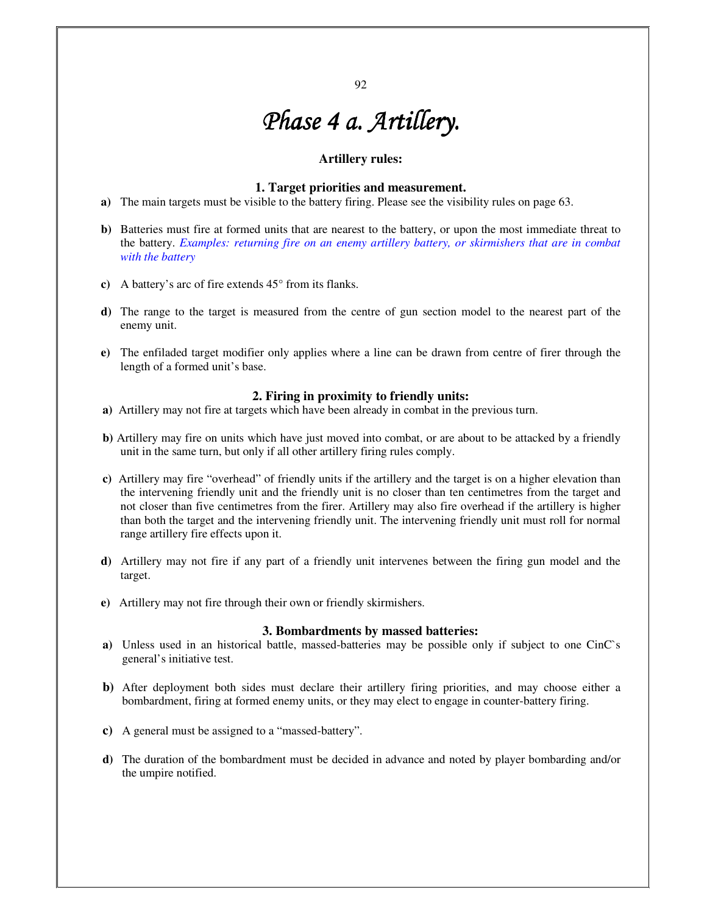92

# *Phase 4 a. Artillery.*

# **Artillery rules:**

### **1. Target priorities and measurement.**

- **a)** The main targets must be visible to the battery firing. Please see the visibility rules on page 63.
- **b)** Batteries must fire at formed units that are nearest to the battery, or upon the most immediate threat to the battery. *Examples: returning fire on an enemy artillery battery, or skirmishers that are in combat with the battery*
- **c)** A battery's arc of fire extends 45° from its flanks.
- **d)** The range to the target is measured from the centre of gun section model to the nearest part of the enemy unit.
- **e)** The enfiladed target modifier only applies where a line can be drawn from centre of firer through the length of a formed unit's base.

# **2. Firing in proximity to friendly units:**

- **a)** Artillery may not fire at targets which have been already in combat in the previous turn.
- **b)** Artillery may fire on units which have just moved into combat, or are about to be attacked by a friendly unit in the same turn, but only if all other artillery firing rules comply.
- **c)** Artillery may fire "overhead" of friendly units if the artillery and the target is on a higher elevation than the intervening friendly unit and the friendly unit is no closer than ten centimetres from the target and not closer than five centimetres from the firer. Artillery may also fire overhead if the artillery is higher than both the target and the intervening friendly unit. The intervening friendly unit must roll for normal range artillery fire effects upon it.
- **d)** Artillery may not fire if any part of a friendly unit intervenes between the firing gun model and the target.
- **e)** Artillery may not fire through their own or friendly skirmishers.

#### **3. Bombardments by massed batteries:**

- **a)** Unless used in an historical battle, massed-batteries may be possible only if subject to one CinC`s general's initiative test.
- **b)** After deployment both sides must declare their artillery firing priorities, and may choose either a bombardment, firing at formed enemy units, or they may elect to engage in counter-battery firing.
- **c)** A general must be assigned to a "massed-battery".
- **d)** The duration of the bombardment must be decided in advance and noted by player bombarding and/or the umpire notified.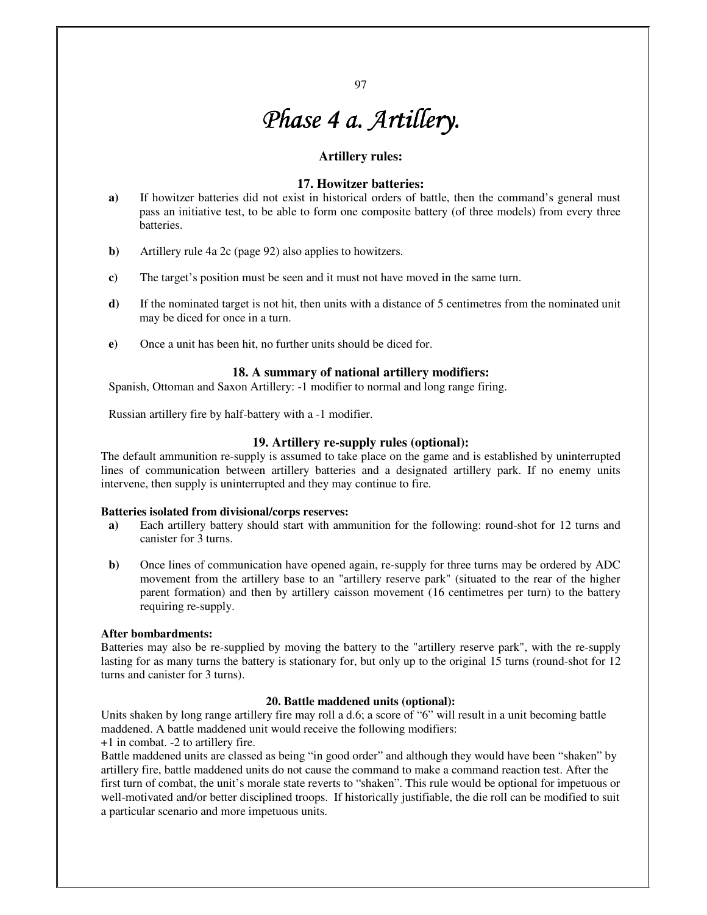# *Phase 4 a. Artillery Phase 4 Artillery.*

### **Artillery rules:**

# **17. Howitzer batteries:**

- **a)** If howitzer batteries did not exist in historical orders of battle, then the command's general must pass an initiative test, to be able to form one composite battery (of three models) from every three batteries.
- **b)** Artillery rule 4a 2c (page 92) also applies to howitzers.
- **c)** The target's position must be seen and it must not have moved in the same turn.
- **d)** If the nominated target is not hit, then units with a distance of 5 centimetres from the nominated unit may be diced for once in a turn.
- **e)** Once a unit has been hit, no further units should be diced for.

#### **18. A summary of national artillery modifiers:**

Spanish, Ottoman and Saxon Artillery: -1 modifier to normal and long range firing.

Russian artillery fire by half-battery with a -1 modifier.

# **19. Artillery re-supply rules (optional):**

The default ammunition re-supply is assumed to take place on the game and is established by uninterrupted lines of communication between artillery batteries and a designated artillery park. If no enemy units intervene, then supply is uninterrupted and they may continue to fire.

#### **Batteries isolated from divisional/corps reserves:**

- **a)** Each artillery battery should start with ammunition for the following: round-shot for 12 turns and canister for 3 turns.
- **b**) Once lines of communication have opened again, re-supply for three turns may be ordered by ADC movement from the artillery base to an "artillery reserve park" (situated to the rear of the higher parent formation) and then by artillery caisson movement (16 centimetres per turn) to the battery requiring re-supply.

#### **After bombardments:**

Batteries may also be re-supplied by moving the battery to the "artillery reserve park", with the re-supply lasting for as many turns the battery is stationary for, but only up to the original 15 turns (round-shot for 12 turns and canister for 3 turns).

#### **20. Battle maddened units (optional):**

Units shaken by long range artillery fire may roll a d.6; a score of "6" will result in a unit becoming battle maddened. A battle maddened unit would receive the following modifiers:

+1 in combat. -2 to artillery fire.

Battle maddened units are classed as being "in good order" and although they would have been "shaken" by artillery fire, battle maddened units do not cause the command to make a command reaction test. After the first turn of combat, the unit's morale state reverts to "shaken". This rule would be optional for impetuous or well-motivated and/or better disciplined troops. If historically justifiable, the die roll can be modified to suit a particular scenario and more impetuous units.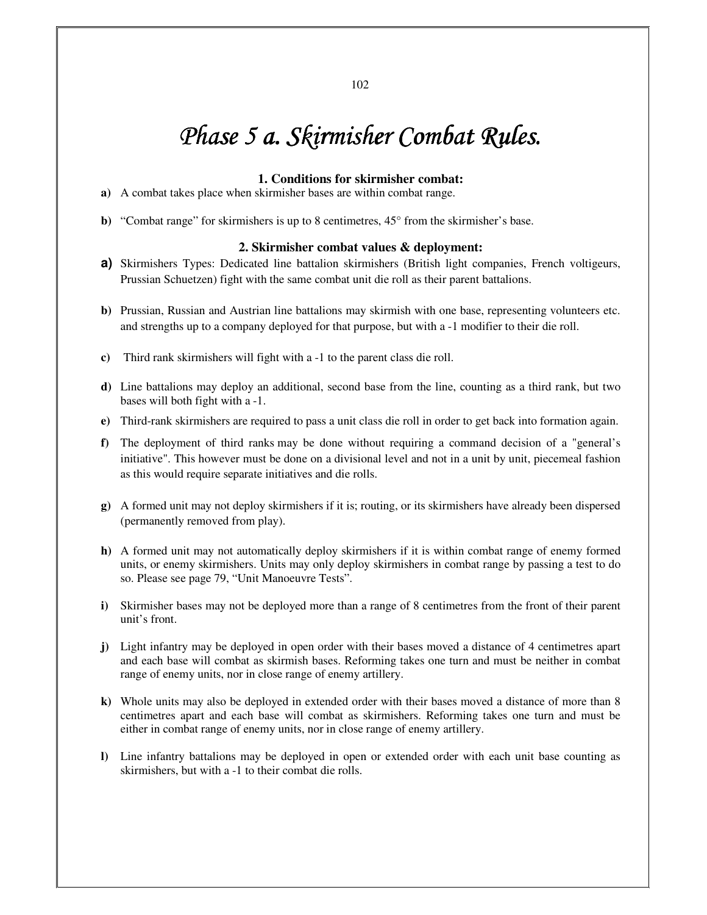# *Phase 5 a. Skirmisher Combat Rules.*

#### **1. Conditions for skirmisher combat:**

- **a)** A combat takes place when skirmisher bases are within combat range.
- **b**) "Combat range" for skirmishers is up to 8 centimetres, 45° from the skirmisher's base.

### **2. Skirmisher combat values & deployment:**

- **a)** Skirmishers Types: Dedicated line battalion skirmishers (British light companies, French voltigeurs, Prussian Schuetzen) fight with the same combat unit die roll as their parent battalions.
- **b)** Prussian, Russian and Austrian line battalions may skirmish with one base, representing volunteers etc. and strengths up to a company deployed for that purpose, but with a -1 modifier to their die roll.
- **c)** Third rank skirmishers will fight with a -1 to the parent class die roll.
- **d)** Line battalions may deploy an additional, second base from the line, counting as a third rank, but two bases will both fight with a -1.
- **e)** Third-rank skirmishers are required to pass a unit class die roll in order to get back into formation again.
- **f)** The deployment of third ranks may be done without requiring a command decision of a "general's initiative". This however must be done on a divisional level and not in a unit by unit, piecemeal fashion as this would require separate initiatives and die rolls.
- **g)** A formed unit may not deploy skirmishers if it is; routing, or its skirmishers have already been dispersed (permanently removed from play).
- **h)** A formed unit may not automatically deploy skirmishers if it is within combat range of enemy formed units, or enemy skirmishers. Units may only deploy skirmishers in combat range by passing a test to do so. Please see page 79, "Unit Manoeuvre Tests".
- **i)** Skirmisher bases may not be deployed more than a range of 8 centimetres from the front of their parent unit's front.
- **j)** Light infantry may be deployed in open order with their bases moved a distance of 4 centimetres apart and each base will combat as skirmish bases. Reforming takes one turn and must be neither in combat range of enemy units, nor in close range of enemy artillery.
- **k)** Whole units may also be deployed in extended order with their bases moved a distance of more than 8 centimetres apart and each base will combat as skirmishers. Reforming takes one turn and must be either in combat range of enemy units, nor in close range of enemy artillery.
- **l)** Line infantry battalions may be deployed in open or extended order with each unit base counting as skirmishers, but with a -1 to their combat die rolls.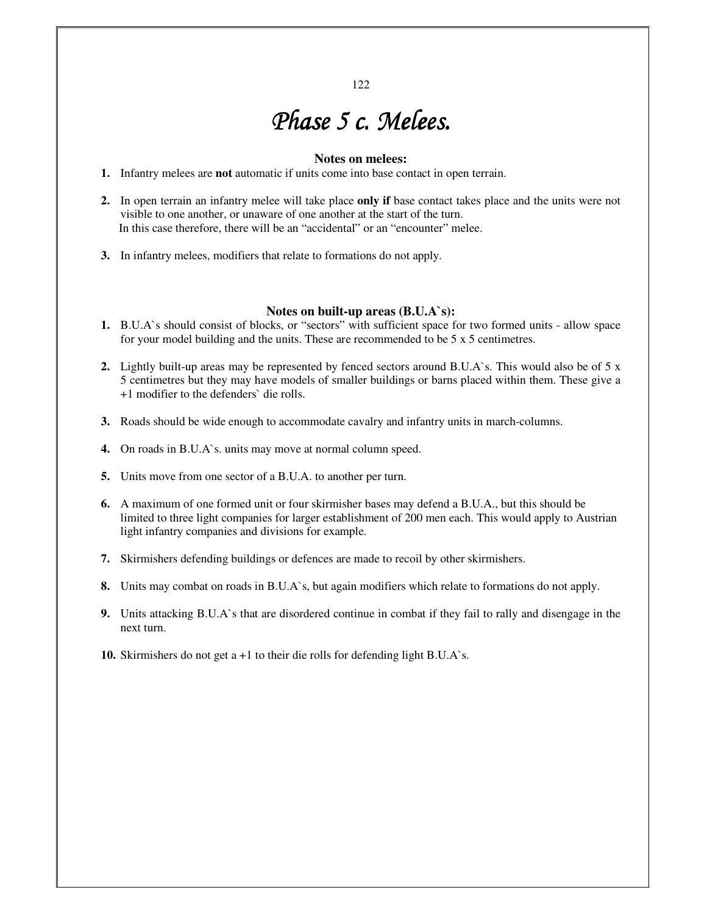# *Phase 5 c. Melees. Phase 5 c. Melees. 5 Melees.*

### **Notes on melees:**

- **1.** Infantry melees are **not** automatic if units come into base contact in open terrain.
- **2.** In open terrain an infantry melee will take place **only if** base contact takes place and the units were not visible to one another, or unaware of one another at the start of the turn. In this case therefore, there will be an "accidental" or an "encounter" melee.
- **3.** In infantry melees, modifiers that relate to formations do not apply.

#### **Notes on built-up areas (B.U.A`s):**

- **1.** B.U.A`s should consist of blocks, or "sectors" with sufficient space for two formed units allow space for your model building and the units. These are recommended to be 5 x 5 centimetres.
- **2.** Lightly built-up areas may be represented by fenced sectors around B.U.A`s. This would also be of 5 x 5 centimetres but they may have models of smaller buildings or barns placed within them. These give a +1 modifier to the defenders` die rolls.
- **3.** Roads should be wide enough to accommodate cavalry and infantry units in march-columns.
- **4.** On roads in B.U.A`s. units may move at normal column speed.
- **5.** Units move from one sector of a B.U.A. to another per turn.
- **6.** A maximum of one formed unit or four skirmisher bases may defend a B.U.A., but this should be limited to three light companies for larger establishment of 200 men each. This would apply to Austrian light infantry companies and divisions for example.
- **7.** Skirmishers defending buildings or defences are made to recoil by other skirmishers.
- **8.** Units may combat on roads in B.U.A`s, but again modifiers which relate to formations do not apply.
- **9.** Units attacking B.U.A`s that are disordered continue in combat if they fail to rally and disengage in the next turn.
- **10.** Skirmishers do not get a +1 to their die rolls for defending light B.U.A`s.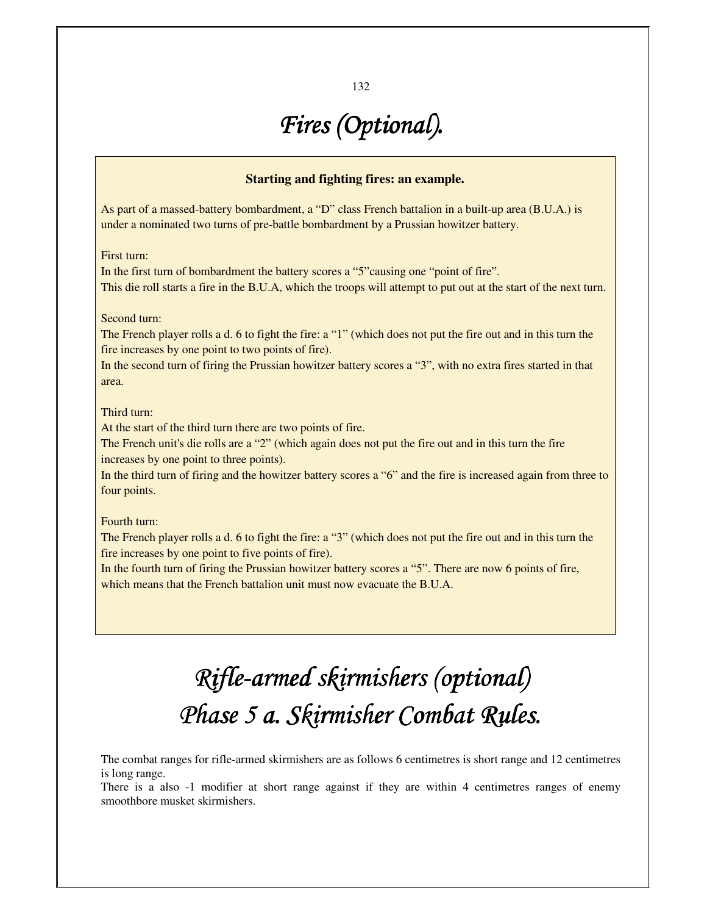# *Fires (Optional).*

# **Starting and fighting fires: an example.**

As part of a massed-battery bombardment, a "D" class French battalion in a built-up area (B.U.A.) is under a nominated two turns of pre-battle bombardment by a Prussian howitzer battery.

First turn:

In the first turn of bombardment the battery scores a "5"causing one "point of fire". This die roll starts a fire in the B.U.A, which the troops will attempt to put out at the start of the next turn.

# Second turn:

The French player rolls a d. 6 to fight the fire: a "1" (which does not put the fire out and in this turn the fire increases by one point to two points of fire).

In the second turn of firing the Prussian howitzer battery scores a "3", with no extra fires started in that area.

### Third turn:

At the start of the third turn there are two points of fire.

The French unit's die rolls are a "2" (which again does not put the fire out and in this turn the fire increases by one point to three points).

In the third turn of firing and the howitzer battery scores a "6" and the fire is increased again from three to four points.

### Fourth turn:

The French player rolls a d. 6 to fight the fire: a "3" (which does not put the fire out and in this turn the fire increases by one point to five points of fire).

In the fourth turn of firing the Prussian howitzer battery scores a "5". There are now 6 points of fire, which means that the French battalion unit must now evacuate the B.U.A.

# *Rifle-armed skirmishers (optional) armed skirmishers (optional)(optional) Phase 5 a. Skirmisher Combat Rules.*

The combat ranges for rifle-armed skirmishers are as follows 6 centimetres is short range and 12 centimetres is long range.

There is a also -1 modifier at short range against if they are within 4 centimetres ranges of enemy smoothbore musket skirmishers.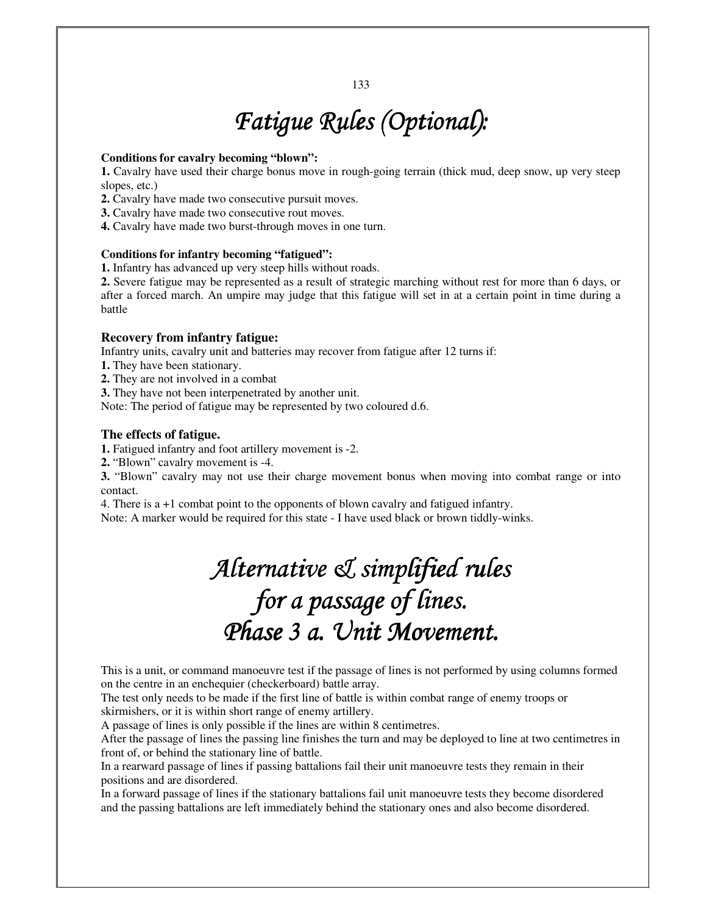# *Fatigue Rules (Optional): Rules (Optional):*

### **Conditions for cavalry becoming "blown":**

**1.** Cavalry have used their charge bonus move in rough-going terrain (thick mud, deep snow, up very steep slopes, etc.)

**2.** Cavalry have made two consecutive pursuit moves.

**3.** Cavalry have made two consecutive rout moves.

**4.** Cavalry have made two burst-through moves in one turn.

# **Conditions for infantry becoming "fatigued":**

**1.** Infantry has advanced up very steep hills without roads.

**2.** Severe fatigue may be represented as a result of strategic marching without rest for more than 6 days, or after a forced march. An umpire may judge that this fatigue will set in at a certain point in time during a battle

# **Recovery from infantry fatigue:**

Infantry units, cavalry unit and batteries may recover from fatigue after 12 turns if:

**1.** They have been stationary.

**2.** They are not involved in a combat

**3.** They have not been interpenetrated by another unit.

Note: The period of fatigue may be represented by two coloured d.6.

# **The effects of fatigue.**

**1.** Fatigued infantry and foot artillery movement is -2.

**2.** "Blown" cavalry movement is -4.

**3.** "Blown" cavalry may not use their charge movement bonus when moving into combat range or into contact.

4. There is a +1 combat point to the opponents of blown cavalry and fatigued infantry.

Note: A marker would be required for this state - I have used black or brown tiddly-winks.

# Alternative & simplified rules *for a passage of lines.*  Phase 3 a. Unit Movement.

This is a unit, or command manoeuvre test if the passage of lines is not performed by using columns formed on the centre in an enchequier (checkerboard) battle array.

The test only needs to be made if the first line of battle is within combat range of enemy troops or skirmishers, or it is within short range of enemy artillery.

A passage of lines is only possible if the lines are within 8 centimetres.

After the passage of lines the passing line finishes the turn and may be deployed to line at two centimetres in front of, or behind the stationary line of battle.

In a rearward passage of lines if passing battalions fail their unit manoeuvre tests they remain in their positions and are disordered.

In a forward passage of lines if the stationary battalions fail unit manoeuvre tests they become disordered and the passing battalions are left immediately behind the stationary ones and also become disordered.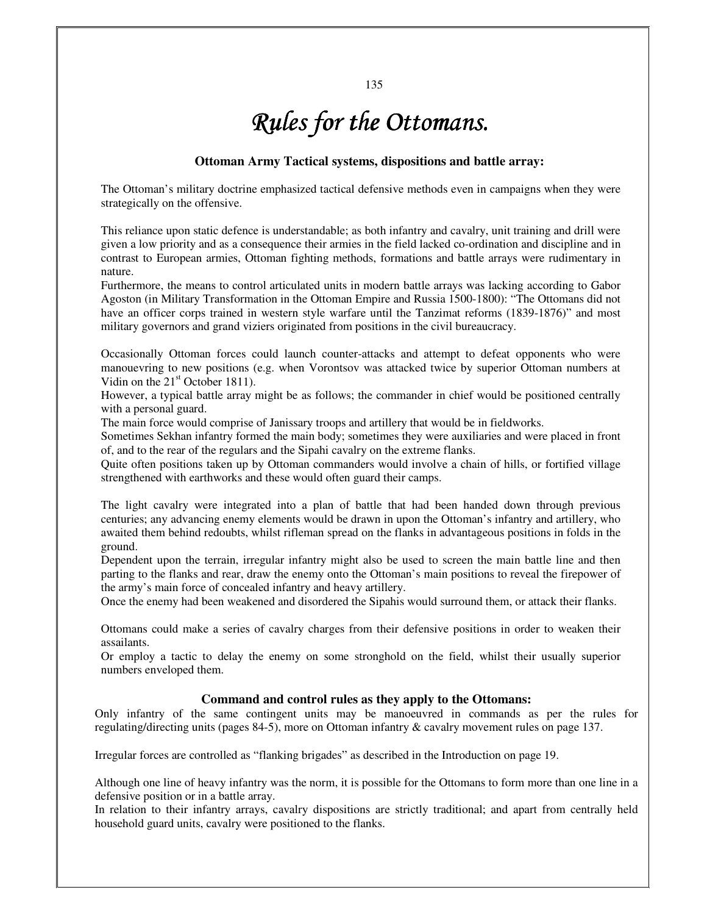# *Rules for the Ottomans. Rules for Ottomans.*

### **Ottoman Army Tactical systems, dispositions and battle array:**

The Ottoman's military doctrine emphasized tactical defensive methods even in campaigns when they were strategically on the offensive.

This reliance upon static defence is understandable; as both infantry and cavalry, unit training and drill were given a low priority and as a consequence their armies in the field lacked co-ordination and discipline and in contrast to European armies, Ottoman fighting methods, formations and battle arrays were rudimentary in nature.

Furthermore, the means to control articulated units in modern battle arrays was lacking according to Gabor Agoston (in Military Transformation in the Ottoman Empire and Russia 1500-1800): "The Ottomans did not have an officer corps trained in western style warfare until the Tanzimat reforms (1839-1876)" and most military governors and grand viziers originated from positions in the civil bureaucracy.

Occasionally Ottoman forces could launch counter-attacks and attempt to defeat opponents who were manouevring to new positions (e.g. when Vorontsov was attacked twice by superior Ottoman numbers at Vidin on the  $21<sup>st</sup>$  October 1811).

However, a typical battle array might be as follows; the commander in chief would be positioned centrally with a personal guard.

The main force would comprise of Janissary troops and artillery that would be in fieldworks.

Sometimes Sekhan infantry formed the main body; sometimes they were auxiliaries and were placed in front of, and to the rear of the regulars and the Sipahi cavalry on the extreme flanks.

Quite often positions taken up by Ottoman commanders would involve a chain of hills, or fortified village strengthened with earthworks and these would often guard their camps.

The light cavalry were integrated into a plan of battle that had been handed down through previous centuries; any advancing enemy elements would be drawn in upon the Ottoman's infantry and artillery, who awaited them behind redoubts, whilst rifleman spread on the flanks in advantageous positions in folds in the ground.

Dependent upon the terrain, irregular infantry might also be used to screen the main battle line and then parting to the flanks and rear, draw the enemy onto the Ottoman's main positions to reveal the firepower of the army's main force of concealed infantry and heavy artillery.

Once the enemy had been weakened and disordered the Sipahis would surround them, or attack their flanks.

Ottomans could make a series of cavalry charges from their defensive positions in order to weaken their assailants.

Or employ a tactic to delay the enemy on some stronghold on the field, whilst their usually superior numbers enveloped them.

# **Command and control rules as they apply to the Ottomans:**

Only infantry of the same contingent units may be manoeuvred in commands as per the rules for regulating/directing units (pages 84-5), more on Ottoman infantry & cavalry movement rules on page 137.

Irregular forces are controlled as "flanking brigades" as described in the Introduction on page 19.

Although one line of heavy infantry was the norm, it is possible for the Ottomans to form more than one line in a defensive position or in a battle array.

In relation to their infantry arrays, cavalry dispositions are strictly traditional; and apart from centrally held household guard units, cavalry were positioned to the flanks.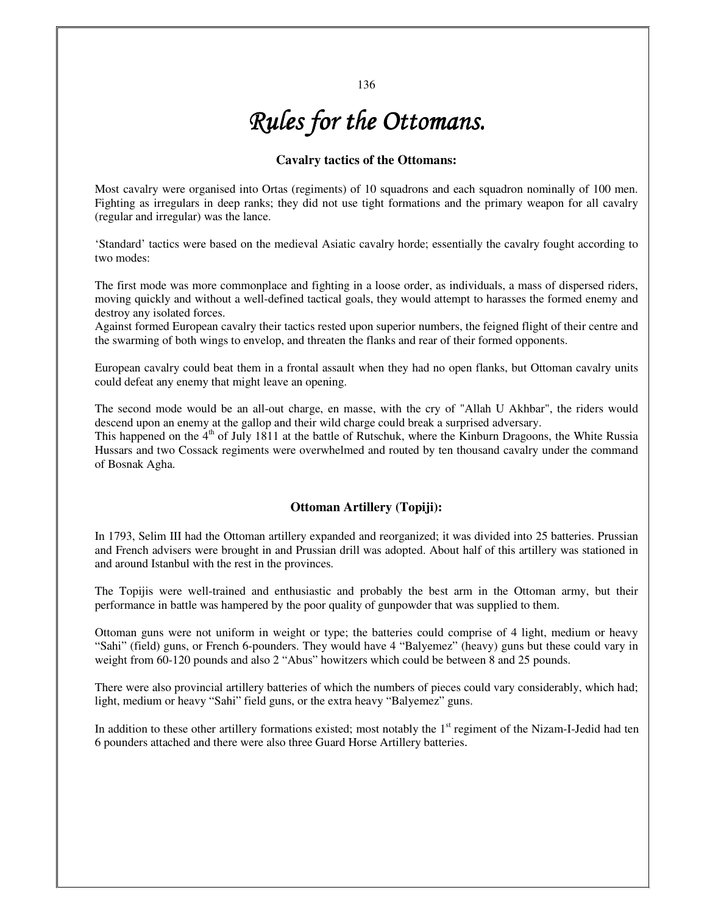# *Rules for the Ottomans. Rules the Ottomans.*

# **Cavalry tactics of the Ottomans:**

Most cavalry were organised into Ortas (regiments) of 10 squadrons and each squadron nominally of 100 men. Fighting as irregulars in deep ranks; they did not use tight formations and the primary weapon for all cavalry (regular and irregular) was the lance.

'Standard' tactics were based on the medieval Asiatic cavalry horde; essentially the cavalry fought according to two modes:

The first mode was more commonplace and fighting in a loose order, as individuals, a mass of dispersed riders, moving quickly and without a well-defined tactical goals, they would attempt to harasses the formed enemy and destroy any isolated forces.

Against formed European cavalry their tactics rested upon superior numbers, the feigned flight of their centre and the swarming of both wings to envelop, and threaten the flanks and rear of their formed opponents.

European cavalry could beat them in a frontal assault when they had no open flanks, but Ottoman cavalry units could defeat any enemy that might leave an opening.

The second mode would be an all-out charge, en masse, with the cry of "Allah U Akhbar", the riders would descend upon an enemy at the gallop and their wild charge could break a surprised adversary.

This happened on the  $4<sup>th</sup>$  of July 1811 at the battle of Rutschuk, where the Kinburn Dragoons, the White Russia Hussars and two Cossack regiments were overwhelmed and routed by ten thousand cavalry under the command of Bosnak Agha.

# **Ottoman Artillery (Topiji):**

In 1793, Selim III had the Ottoman artillery expanded and reorganized; it was divided into 25 batteries. Prussian and French advisers were brought in and Prussian drill was adopted. About half of this artillery was stationed in and around Istanbul with the rest in the provinces.

The Topijis were well-trained and enthusiastic and probably the best arm in the Ottoman army, but their performance in battle was hampered by the poor quality of gunpowder that was supplied to them.

Ottoman guns were not uniform in weight or type; the batteries could comprise of 4 light, medium or heavy "Sahi" (field) guns, or French 6-pounders. They would have 4 "Balyemez" (heavy) guns but these could vary in weight from 60-120 pounds and also 2 "Abus" howitzers which could be between 8 and 25 pounds.

There were also provincial artillery batteries of which the numbers of pieces could vary considerably, which had; light, medium or heavy "Sahi" field guns, or the extra heavy "Balyemez" guns.

In addition to these other artillery formations existed; most notably the  $1<sup>st</sup>$  regiment of the Nizam-I-Jedid had ten 6 pounders attached and there were also three Guard Horse Artillery batteries.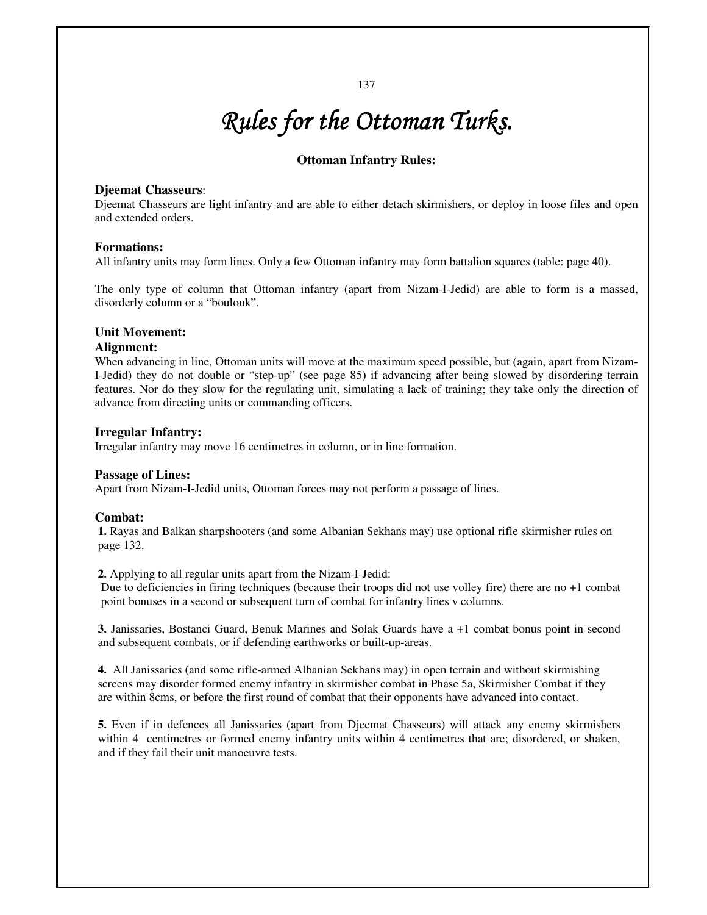# **Ottoman Infantry Rules:**

### **Djeemat Chasseurs**:

Djeemat Chasseurs are light infantry and are able to either detach skirmishers, or deploy in loose files and open and extended orders.

### **Formations:**

All infantry units may form lines. Only a few Ottoman infantry may form battalion squares (table: page 40).

The only type of column that Ottoman infantry (apart from Nizam-I-Jedid) are able to form is a massed, disorderly column or a "boulouk".

### **Unit Movement:**

#### **Alignment:**

When advancing in line, Ottoman units will move at the maximum speed possible, but (again, apart from Nizam-I-Jedid) they do not double or "step-up" (see page 85) if advancing after being slowed by disordering terrain features. Nor do they slow for the regulating unit, simulating a lack of training; they take only the direction of advance from directing units or commanding officers.

### **Irregular Infantry:**

Irregular infantry may move 16 centimetres in column, or in line formation.

#### **Passage of Lines:**

Apart from Nizam-I-Jedid units, Ottoman forces may not perform a passage of lines.

#### **Combat:**

**1.** Rayas and Balkan sharpshooters (and some Albanian Sekhans may) use optional rifle skirmisher rules on page 132.

**2.** Applying to all regular units apart from the Nizam-I-Jedid:

Due to deficiencies in firing techniques (because their troops did not use volley fire) there are no +1 combat point bonuses in a second or subsequent turn of combat for infantry lines v columns.

**3.** Janissaries, Bostanci Guard, Benuk Marines and Solak Guards have a +1 combat bonus point in second and subsequent combats, or if defending earthworks or built-up-areas.

**4.** All Janissaries (and some rifle-armed Albanian Sekhans may) in open terrain and without skirmishing screens may disorder formed enemy infantry in skirmisher combat in Phase 5a, Skirmisher Combat if they are within 8cms, or before the first round of combat that their opponents have advanced into contact.

**5.** Even if in defences all Janissaries (apart from Djeemat Chasseurs) will attack any enemy skirmishers within 4 centimetres or formed enemy infantry units within 4 centimetres that are; disordered, or shaken, and if they fail their unit manoeuvre tests.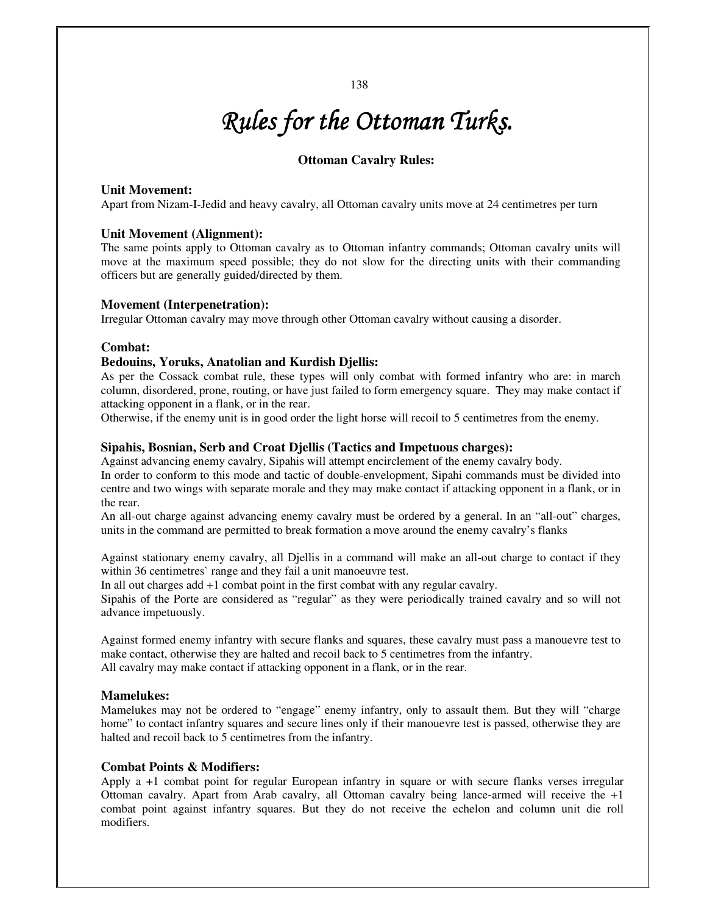#### 138

# *Rules for the Ottoman Turks. Turks.*

# **Ottoman Cavalry Rules:**

# **Unit Movement:**

Apart from Nizam-I-Jedid and heavy cavalry, all Ottoman cavalry units move at 24 centimetres per turn

#### **Unit Movement (Alignment):**

The same points apply to Ottoman cavalry as to Ottoman infantry commands; Ottoman cavalry units will move at the maximum speed possible; they do not slow for the directing units with their commanding officers but are generally guided/directed by them.

#### **Movement (Interpenetration):**

Irregular Ottoman cavalry may move through other Ottoman cavalry without causing a disorder.

#### **Combat:**

# **Bedouins, Yoruks, Anatolian and Kurdish Djellis:**

As per the Cossack combat rule, these types will only combat with formed infantry who are: in march column, disordered, prone, routing, or have just failed to form emergency square. They may make contact if attacking opponent in a flank, or in the rear.

Otherwise, if the enemy unit is in good order the light horse will recoil to 5 centimetres from the enemy.

### **Sipahis, Bosnian, Serb and Croat Djellis (Tactics and Impetuous charges):**

Against advancing enemy cavalry, Sipahis will attempt encirclement of the enemy cavalry body.

In order to conform to this mode and tactic of double-envelopment, Sipahi commands must be divided into centre and two wings with separate morale and they may make contact if attacking opponent in a flank, or in the rear.

An all-out charge against advancing enemy cavalry must be ordered by a general. In an "all-out" charges, units in the command are permitted to break formation a move around the enemy cavalry's flanks

Against stationary enemy cavalry, all Djellis in a command will make an all-out charge to contact if they within 36 centimetres` range and they fail a unit manoeuvre test.

In all out charges add +1 combat point in the first combat with any regular cavalry.

Sipahis of the Porte are considered as "regular" as they were periodically trained cavalry and so will not advance impetuously.

Against formed enemy infantry with secure flanks and squares, these cavalry must pass a manouevre test to make contact, otherwise they are halted and recoil back to 5 centimetres from the infantry. All cavalry may make contact if attacking opponent in a flank, or in the rear.

#### **Mamelukes:**

Mamelukes may not be ordered to "engage" enemy infantry, only to assault them. But they will "charge home" to contact infantry squares and secure lines only if their manouevre test is passed, otherwise they are halted and recoil back to 5 centimetres from the infantry.

#### **Combat Points & Modifiers:**

Apply a +1 combat point for regular European infantry in square or with secure flanks verses irregular Ottoman cavalry. Apart from Arab cavalry, all Ottoman cavalry being lance-armed will receive the +1 combat point against infantry squares. But they do not receive the echelon and column unit die roll modifiers.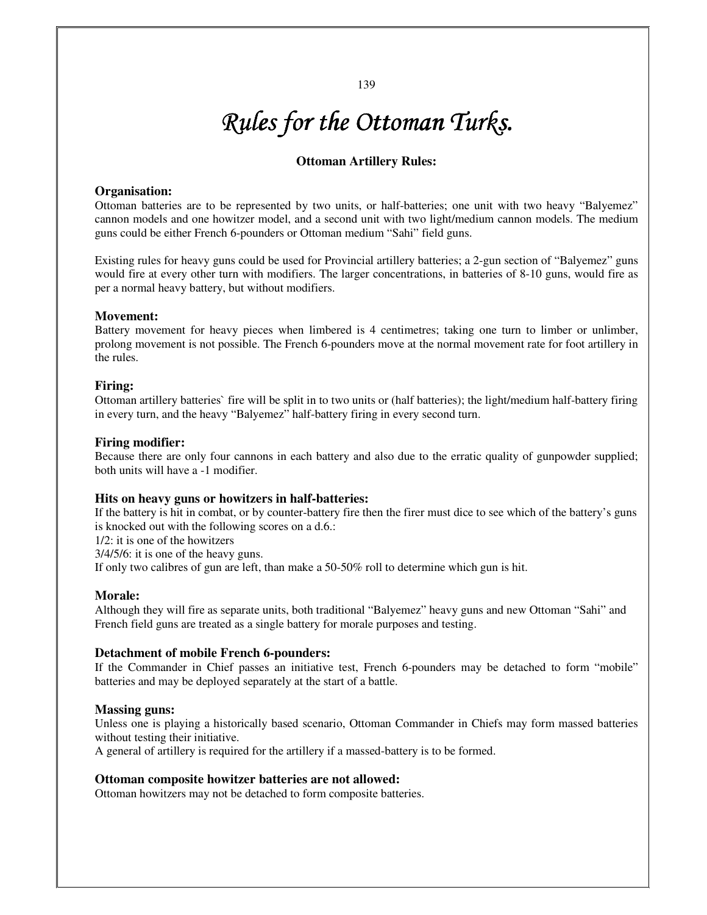# **Ottoman Artillery Rules:**

### **Organisation:**

Ottoman batteries are to be represented by two units, or half-batteries; one unit with two heavy "Balyemez" cannon models and one howitzer model, and a second unit with two light/medium cannon models. The medium guns could be either French 6-pounders or Ottoman medium "Sahi" field guns.

Existing rules for heavy guns could be used for Provincial artillery batteries; a 2-gun section of "Balyemez" guns would fire at every other turn with modifiers. The larger concentrations, in batteries of 8-10 guns, would fire as per a normal heavy battery, but without modifiers.

### **Movement:**

Battery movement for heavy pieces when limbered is 4 centimetres; taking one turn to limber or unlimber, prolong movement is not possible. The French 6-pounders move at the normal movement rate for foot artillery in the rules.

#### **Firing:**

Ottoman artillery batteries` fire will be split in to two units or (half batteries); the light/medium half-battery firing in every turn, and the heavy "Balyemez" half-battery firing in every second turn.

#### **Firing modifier:**

Because there are only four cannons in each battery and also due to the erratic quality of gunpowder supplied; both units will have a -1 modifier.

#### **Hits on heavy guns or howitzers in half-batteries:**

If the battery is hit in combat, or by counter-battery fire then the firer must dice to see which of the battery's guns is knocked out with the following scores on a d.6.:

1/2: it is one of the howitzers

3/4/5/6: it is one of the heavy guns.

If only two calibres of gun are left, than make a 50-50% roll to determine which gun is hit.

#### **Morale:**

Although they will fire as separate units, both traditional "Balyemez" heavy guns and new Ottoman "Sahi" and French field guns are treated as a single battery for morale purposes and testing.

#### **Detachment of mobile French 6-pounders:**

If the Commander in Chief passes an initiative test, French 6-pounders may be detached to form "mobile" batteries and may be deployed separately at the start of a battle.

#### **Massing guns:**

Unless one is playing a historically based scenario, Ottoman Commander in Chiefs may form massed batteries without testing their initiative.

A general of artillery is required for the artillery if a massed-battery is to be formed.

# **Ottoman composite howitzer batteries are not allowed:**

Ottoman howitzers may not be detached to form composite batteries.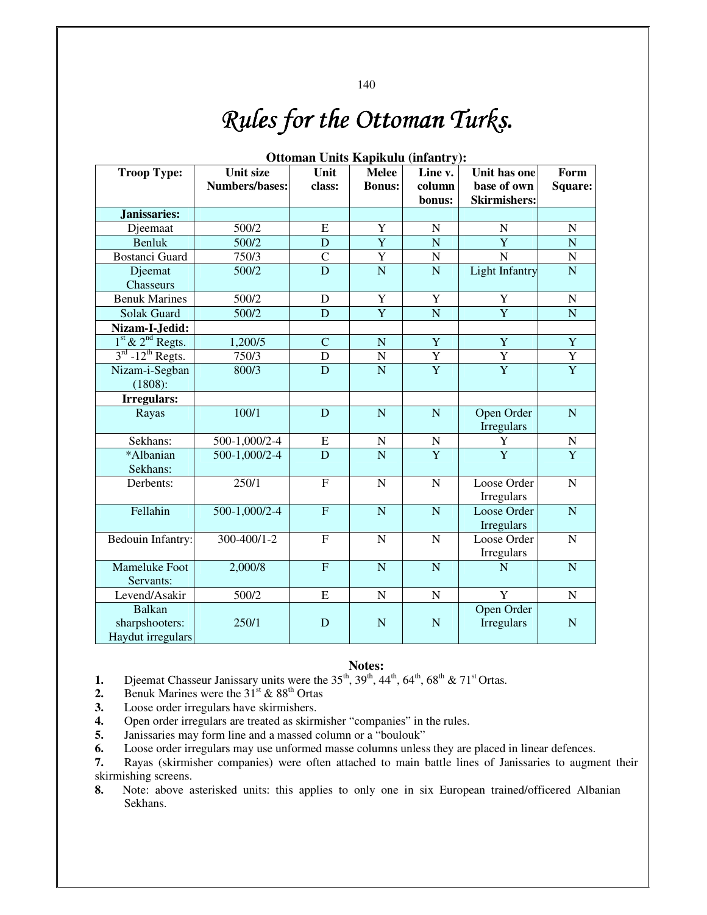| Опошан Ошія Карікши (пітанігу); |                       |                |                |                         |                       |                |  |  |
|---------------------------------|-----------------------|----------------|----------------|-------------------------|-----------------------|----------------|--|--|
| <b>Troop Type:</b>              | <b>Unit size</b>      | Unit           | <b>Melee</b>   | Line v.                 | Unit has one          | Form           |  |  |
|                                 | <b>Numbers/bases:</b> | class:         | <b>Bonus:</b>  | column                  | base of own           | Square:        |  |  |
|                                 |                       |                |                | bonus:                  | <b>Skirmishers:</b>   |                |  |  |
| Janissaries:                    |                       |                |                |                         |                       |                |  |  |
| Djeemaat                        | 500/2                 | ${\bf E}$      | Y              | $\mathbf N$             | $\overline{N}$        | ${\bf N}$      |  |  |
| <b>Benluk</b>                   | 500/2                 | D              | $\overline{Y}$ | $\overline{N}$          | Y                     | $\mathbf N$    |  |  |
| <b>Bostanci Guard</b>           | 750/3                 | $\mathcal{C}$  | Y              | ${\bf N}$               | N                     | ${\bf N}$      |  |  |
| Djeemat                         | 500/2                 | D              | $\overline{N}$ | $\overline{\mathbf{N}}$ | <b>Light Infantry</b> | $\overline{N}$ |  |  |
| Chasseurs                       |                       |                |                |                         |                       |                |  |  |
| <b>Benuk Marines</b>            | 500/2                 | D              | Y              | Y                       | Y                     | ${\bf N}$      |  |  |
| <b>Solak Guard</b>              | 500/2                 | $\mathbf D$    | $\overline{Y}$ | $\overline{N}$          | $\overline{Y}$        | $\overline{N}$ |  |  |
| Nizam-I-Jedid:                  |                       |                |                |                         |                       |                |  |  |
| $1st$ & $2nd$ Regts.            | 1,200/5               | $\mathbf C$    | $\mathbf N$    | $\overline{Y}$          | $\overline{Y}$        | $\overline{Y}$ |  |  |
| $3rd$ -12 <sup>th</sup> Regts.  | 750/3                 | $\mathbf D$    | $\overline{N}$ | $\overline{Y}$          | $\overline{Y}$        | $\overline{Y}$ |  |  |
| Nizam-i-Segban                  | 800/3                 | D              | N              | $\overline{Y}$          | $\overline{Y}$        | $\overline{Y}$ |  |  |
| (1808):                         |                       |                |                |                         |                       |                |  |  |
| Irregulars:                     |                       |                |                |                         |                       |                |  |  |
| Rayas                           | 100/1                 | D              | $\overline{N}$ | $\mathbf N$             | Open Order            | $\mathbf N$    |  |  |
|                                 |                       |                |                |                         | Irregulars            |                |  |  |
| Sekhans:                        | 500-1,000/2-4         | ${\bf E}$      | $\mathbf N$    | $\mathbf N$             | Y                     | ${\bf N}$      |  |  |
| *Albanian                       | 500-1,000/2-4         | D              | $\overline{N}$ | $\overline{Y}$          | $\overline{Y}$        | $\overline{Y}$ |  |  |
| Sekhans:                        |                       |                |                |                         |                       |                |  |  |
| Derbents:                       | 250/1                 | $\overline{F}$ | $\overline{N}$ | $\mathbf N$             | Loose Order           | ${\bf N}$      |  |  |
|                                 |                       |                |                |                         | Irregulars            |                |  |  |
| Fellahin                        | 500-1,000/2-4         | ${\bf F}$      | $\overline{N}$ | $\overline{N}$          | Loose Order           | $\mathbf N$    |  |  |
|                                 |                       |                |                |                         | <b>Irregulars</b>     |                |  |  |
| Bedouin Infantry:               | 300-400/1-2           | $\overline{F}$ | $\overline{N}$ | $\overline{N}$          | Loose Order           | $\mathbf N$    |  |  |
|                                 |                       |                |                |                         | Irregulars            |                |  |  |
| Mameluke Foot                   | 2,000/8               | $\overline{F}$ | $\overline{N}$ | $\mathbf N$             | N                     | $\overline{N}$ |  |  |
| Servants:                       |                       |                |                |                         |                       |                |  |  |
| Levend/Asakir                   | 500/2                 | ${\bf E}$      | ${\bf N}$      | $\mathbf N$             | Y                     | $\mathbf N$    |  |  |
| <b>Balkan</b>                   |                       |                |                |                         | Open Order            |                |  |  |
| sharpshooters:                  | 250/1                 | D              | $\mathbf N$    | ${\bf N}$               | Irregulars            | ${\bf N}$      |  |  |
| Haydut irregulars               |                       |                |                |                         |                       |                |  |  |

# **Ottoman Units Kapikulu (infantry):**

#### **Notes:**

**1.** Djeemat Chasseur Janissary units were the  $35<sup>th</sup>$ ,  $39<sup>th</sup>$ ,  $44<sup>th</sup>$ ,  $64<sup>th</sup>$ ,  $68<sup>th</sup>$  &  $71<sup>st</sup>$  Ortas.<br>**2.** Benuk Marines were the  $31<sup>st</sup>$  &  $88<sup>th</sup>$  Ortas

Benuk Marines were the  $31<sup>st</sup>$  &  $88<sup>th</sup>$  Ortas

- **3.** Loose order irregulars have skirmishers.
- **4.** Open order irregulars are treated as skirmisher "companies" in the rules.
- **5.** Janissaries may form line and a massed column or a "boulouk"

**6.** Loose order irregulars may use unformed masse columns unless they are placed in linear defences.<br>**7.** Rayas (skirmisher companies) were often attached to main battle lines of Janissaries to augment

**7.** Rayas (skirmisher companies) were often attached to main battle lines of Janissaries to augment their skirmishing screens.

**8.** Note: above asterisked units: this applies to only one in six European trained/officered Albanian Sekhans.